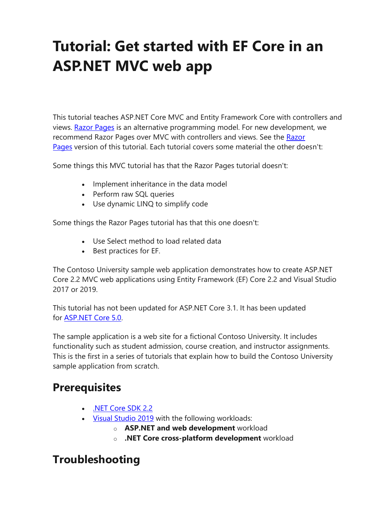# **Tutorial: Get started with EF Core in an ASP.NET MVC web app**

This tutorial teaches ASP.NET Core MVC and Entity Framework Core with controllers and views. [Razor Pages](https://docs.microsoft.com/en-gb/aspnet/core/razor-pages/?view=aspnetcore-3.1) is an alternative programming model. For new development, we recommend [Razor](https://docs.microsoft.com/en-gb/aspnet/core/data/ef-rp/intro?view=aspnetcore-3.1) Pages over MVC with controllers and views. See the Razor [Pages](https://docs.microsoft.com/en-gb/aspnet/core/data/ef-rp/intro?view=aspnetcore-3.1) version of this tutorial. Each tutorial covers some material the other doesn't:

Some things this MVC tutorial has that the Razor Pages tutorial doesn't:

- Implement inheritance in the data model
- Perform raw SQL queries
- Use dynamic LINQ to simplify code

Some things the Razor Pages tutorial has that this one doesn't:

- Use Select method to load related data
- Best practices for EF.

The Contoso University sample web application demonstrates how to create ASP.NET Core 2.2 MVC web applications using Entity Framework (EF) Core 2.2 and Visual Studio 2017 or 2019.

This tutorial has not been updated for ASP.NET Core 3.1. It has been updated for [ASP.NET Core 5.0.](https://docs.microsoft.com/en-gb/aspnet/core/data/ef-mvc/intro?view=aspnetcore-5.0)

The sample application is a web site for a fictional Contoso University. It includes functionality such as student admission, course creation, and instructor assignments. This is the first in a series of tutorials that explain how to build the Contoso University sample application from scratch.

### **Prerequisites**

- [.NET Core SDK 2.2](https://dotnet.microsoft.com/download)
- [Visual Studio 2019](https://visualstudio.microsoft.com/downloads/?utm_medium=microsoft&utm_source=docs.microsoft.com&utm_campaign=inline+link&utm_content=download+vs2019) with the following workloads:
	- o **ASP.NET and web development** workload
	- o **.NET Core cross-platform development** workload

### **Troubleshooting**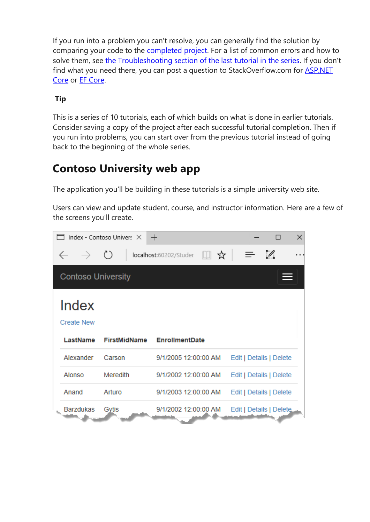If you run into a problem you can't resolve, you can generally find the solution by comparing your code to the [completed project.](https://github.com/dotnet/AspNetCore.Docs/tree/main/aspnetcore/data/ef-mvc/intro/samples) For a list of common errors and how to solve them, see [the Troubleshooting section of the last tutorial in the series.](https://docs.microsoft.com/en-gb/aspnet/core/data/ef-mvc/advanced?view=aspnetcore-3.1#common-errors) If you don't find what you need there, you can post a question to StackOverflow.com for [ASP.NET](https://stackoverflow.com/questions/tagged/asp.net-core)  [Core](https://stackoverflow.com/questions/tagged/asp.net-core) or [EF Core.](https://stackoverflow.com/questions/tagged/entity-framework-core)

#### **Tip**

This is a series of 10 tutorials, each of which builds on what is done in earlier tutorials. Consider saving a copy of the project after each successful tutorial completion. Then if you run into problems, you can start over from the previous tutorial instead of going back to the beginning of the whole series.

### **Contoso University web app**

The application you'll be building in these tutorials is a simple university web site.

Users can view and update student, course, and instructor information. Here are a few of the screens you'll create.

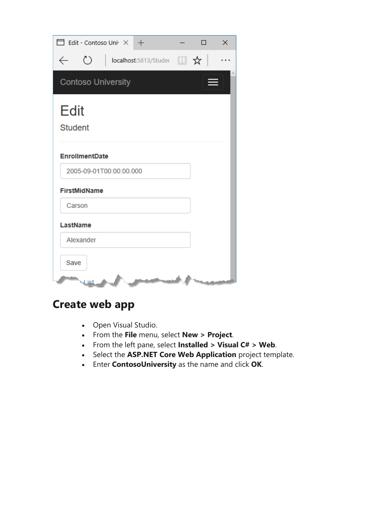| $\Box$ Edit - Contoso Uni $\overline{X}$ +                                   | П | × |
|------------------------------------------------------------------------------|---|---|
| ↻<br>$\vert$ localhost:5813/Studer $\Box$ $\mathbf{\hat{x}}$<br>$\leftarrow$ |   |   |
| <b>Contoso University</b>                                                    |   |   |
| <b>Edit</b><br><b>Student</b>                                                |   |   |
| <b>EnrollmentDate</b>                                                        |   |   |
| 2005-09-01T00:00:00.000                                                      |   |   |
| <b>FirstMidName</b>                                                          |   |   |
| Carson                                                                       |   |   |
| LastName                                                                     |   |   |
| Alexander                                                                    |   |   |
| Save<br>tai Lr                                                               |   |   |

## **Create web app**

- Open Visual Studio.
- From the **File** menu, select **New > Project**.
- From the left pane, select **Installed > Visual C# > Web**.
- Select the **ASP.NET Core Web Application** project template.
- Enter **ContosoUniversity** as the name and click **OK**.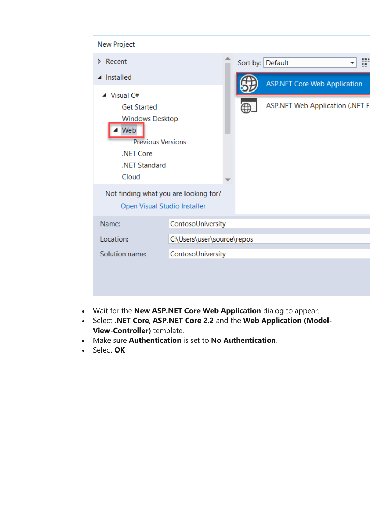| New Project                                                                                                                                          |                            |  |  |                                        |  |
|------------------------------------------------------------------------------------------------------------------------------------------------------|----------------------------|--|--|----------------------------------------|--|
| Recent<br>D.                                                                                                                                         |                            |  |  | Sort by: Default                       |  |
| Installed                                                                                                                                            |                            |  |  | <b>ASP.NET Core Web Application</b>    |  |
| $\blacktriangle$ Visual C#<br><b>Get Started</b><br><b>Windows Desktop</b><br>Web<br><b>Previous Versions</b><br>.NET Core<br>.NET Standard<br>Cloud |                            |  |  | <b>ASP.NET Web Application (.NET F</b> |  |
| Not finding what you are looking for?<br>Open Visual Studio Installer                                                                                |                            |  |  |                                        |  |
| Name:                                                                                                                                                | ContosoUniversity          |  |  |                                        |  |
| Location:                                                                                                                                            | C:\Users\user\source\repos |  |  |                                        |  |
| Solution name:                                                                                                                                       | ContosoUniversity          |  |  |                                        |  |
|                                                                                                                                                      |                            |  |  |                                        |  |

- Wait for the **New ASP.NET Core Web Application** dialog to appear.
- Select **.NET Core**, **ASP.NET Core 2.2** and the **Web Application (Model-View-Controller)** template.
- Make sure **Authentication** is set to **No Authentication**.
- Select **OK**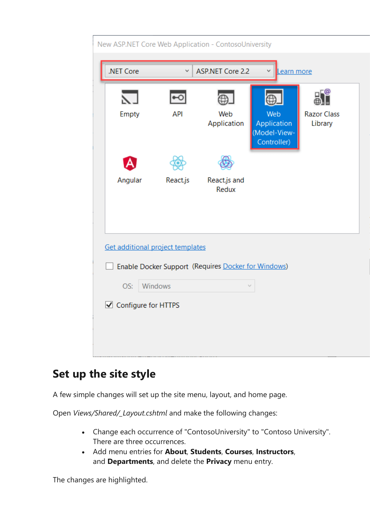| New ASP.NET Core Web Application - ContosoUniversity |            |                                                     |                                            |                          |  |
|------------------------------------------------------|------------|-----------------------------------------------------|--------------------------------------------|--------------------------|--|
| .NET Core                                            | ∨          | ASP.NET Core 2.2                                    | Learn more                                 |                          |  |
| Empty                                                | <b>API</b> | Web                                                 | Web                                        | ⊑@<br><b>Razor Class</b> |  |
|                                                      |            | Application                                         | Application<br>(Model-View-<br>Controller) | Library                  |  |
|                                                      |            |                                                     |                                            |                          |  |
| Angular                                              | React.js   | React.js and<br>Redux                               |                                            |                          |  |
|                                                      |            |                                                     |                                            |                          |  |
| Get additional project templates                     |            |                                                     |                                            |                          |  |
|                                                      |            |                                                     |                                            |                          |  |
|                                                      |            | Enable Docker Support (Requires Docker for Windows) |                                            |                          |  |
| OS:                                                  | Windows    |                                                     |                                            |                          |  |
| ◯ Configure for HTTPS                                |            |                                                     |                                            |                          |  |
|                                                      |            |                                                     |                                            |                          |  |
|                                                      |            |                                                     |                                            |                          |  |
|                                                      |            |                                                     |                                            |                          |  |

### **Set up the site style**

A few simple changes will set up the site menu, layout, and home page.

Open *Views/Shared/\_Layout.cshtml* and make the following changes:

- Change each occurrence of "ContosoUniversity" to "Contoso University". There are three occurrences.
- Add menu entries for **About**, **Students**, **Courses**, **Instructors**, and **Departments**, and delete the **Privacy** menu entry.

The changes are highlighted.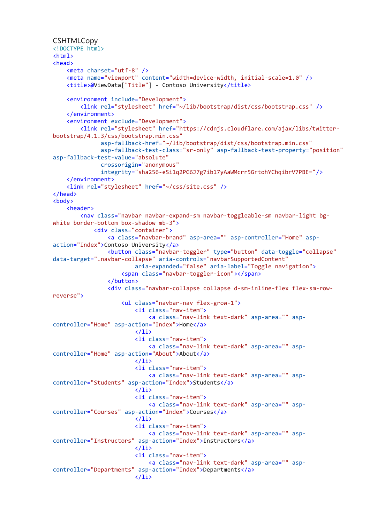```
CSHTMLCopy
<!DOCTYPE html>
<html>
<head>
     <meta charset="utf-8" />
     <meta name="viewport" content="width=device-width, initial-scale=1.0" />
     <title>@ViewData["Title"] - Contoso University</title>
     <environment include="Development">
         <link rel="stylesheet" href="~/lib/bootstrap/dist/css/bootstrap.css" />
     </environment>
     <environment exclude="Development">
         <link rel="stylesheet" href="https://cdnjs.cloudflare.com/ajax/libs/twitter-
bootstrap/4.1.3/css/bootstrap.min.css"
               asp-fallback-href="~/lib/bootstrap/dist/css/bootstrap.min.css"
               asp-fallback-test-class="sr-only" asp-fallback-test-property="position"
asp-fallback-test-value="absolute"
               crossorigin="anonymous"
               integrity="sha256-eSi1q2PG6J7g7ib17yAaWMcrr5GrtohYChqibrV7PBE="/>
     </environment>
     <link rel="stylesheet" href="~/css/site.css" />
</head>
<body>
     <header>
         <nav class="navbar navbar-expand-sm navbar-toggleable-sm navbar-light bg-
white border-bottom box-shadow mb-3">
             <div class="container">
                  <a class="navbar-brand" asp-area="" asp-controller="Home" asp-
action="Index">Contoso University</a>
                  <button class="navbar-toggler" type="button" data-toggle="collapse"
data-target=".navbar-collapse" aria-controls="navbarSupportedContent"
                          aria-expanded="false" aria-label="Toggle navigation">
                      <span class="navbar-toggler-icon"></span>
                  </button>
                  <div class="navbar-collapse collapse d-sm-inline-flex flex-sm-row-
reverse">
                      <ul class="navbar-nav flex-grow-1">
                          <li class="nav-item">
                              <a class="nav-link text-dark" asp-area="" asp-
controller="Home" asp-action="Index">Home</a>
                         \langle/li>
                         <li class="nav-item">
                              <a class="nav-link text-dark" asp-area="" asp-
controller="Home" asp-action="About">About</a>
                         \langle/li>
                         <li class="nav-item">
                              <a class="nav-link text-dark" asp-area="" asp-
controller="Students" asp-action="Index">Students</a>
                         \langle/li>
                         <li class="nav-item">
                              <a class="nav-link text-dark" asp-area="" asp-
controller="Courses" asp-action="Index">Courses</a>
                         \langle/li>
                         <li class="nav-item">
                              <a class="nav-link text-dark" asp-area="" asp-
controller="Instructors" asp-action="Index">Instructors</a>
                         \langle/li>
                          <li class="nav-item">
                              <a class="nav-link text-dark" asp-area="" asp-
controller="Departments" asp-action="Index">Departments</a>
                         \langle/li>
```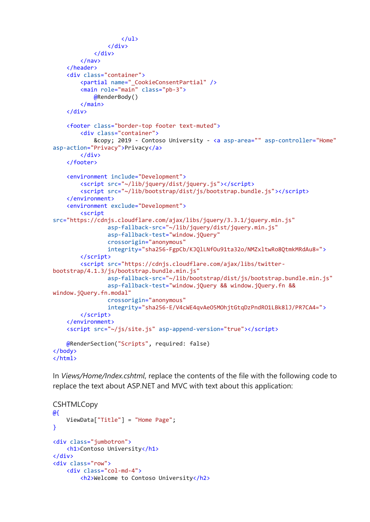```
\langle/ul>
                  </div>
             </div>
         </nav>
     </header>
     <div class="container">
         <partial name="_CookieConsentPartial" />
         <main role="main" class="pb-3">
             @RenderBody()
         </main>
     </div>
     <footer class="border-top footer text-muted">
         <div class="container">
             © 2019 - Contoso University - <a asp-area="" asp-controller="Home"
asp-action="Privacy">Privacy</a>
         </div>
     </footer>
     <environment include="Development">
         <script src="~/lib/jquery/dist/jquery.js"></script>
         <script src="~/lib/bootstrap/dist/js/bootstrap.bundle.js"></script>
     </environment>
     <environment exclude="Development">
         <script
src="https://cdnjs.cloudflare.com/ajax/libs/jquery/3.3.1/jquery.min.js"
                 asp-fallback-src="~/lib/jquery/dist/jquery.min.js"
                 asp-fallback-test="window.jQuery"
                 crossorigin="anonymous"
                 integrity="sha256-FgpCb/KJQlLNfOu91ta32o/NMZxltwRo8QtmkMRdAu8=">
         </script>
         <script src="https://cdnjs.cloudflare.com/ajax/libs/twitter-
bootstrap/4.1.3/js/bootstrap.bundle.min.js"
                  asp-fallback-src="~/lib/bootstrap/dist/js/bootstrap.bundle.min.js"
                 asp-fallback-test="window.jQuery && window.jQuery.fn &&
window.jQuery.fn.modal"
                 crossorigin="anonymous"
                 integrity="sha256-E/V4cWE4qvAeO5MOhjtGtqDzPndRO1LBk8lJ/PR7CA4=">
         </script>
     </environment>
     <script src="~/js/site.js" asp-append-version="true"></script>
     @RenderSection("Scripts", required: false)
</body>
</html>
```
In *Views/Home/Index.cshtml*, replace the contents of the file with the following code to replace the text about ASP.NET and MVC with text about this application:

```
CSHTMLCopy
@{
     ViewData["Title"] = "Home Page";
}
<div class="jumbotron">
     <h1>Contoso University</h1>
</div>
<div class="row">
     <div class="col-md-4">
         <h2>Welcome to Contoso University</h2>
```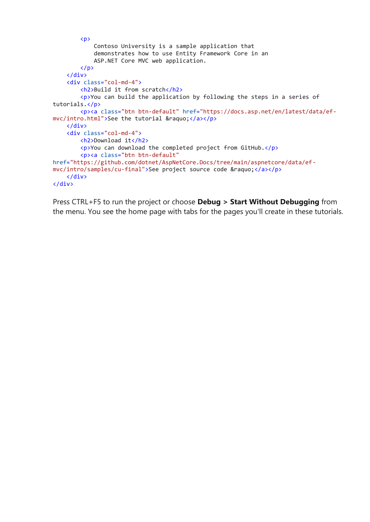```
 <p>
             Contoso University is a sample application that
             demonstrates how to use Entity Framework Core in an
             ASP.NET Core MVC web application.
        \langle/p>
     </div>
     <div class="col-md-4">
         <h2>Build it from scratch</h2>
         <p>You can build the application by following the steps in a series of
tutorials.</p>
         <p><a class="btn btn-default" href="https://docs.asp.net/en/latest/data/ef-
mvc/intro.html">See the tutorial »</a></p>
     </div>
     <div class="col-md-4">
         <h2>Download it</h2>
         <p>You can download the completed project from GitHub.</p>
         <p><a class="btn btn-default"
href="https://github.com/dotnet/AspNetCore.Docs/tree/main/aspnetcore/data/ef-
mvc/intro/samples/cu-final">See project source code »</a></p>
     </div>
</div>
```
Press CTRL+F5 to run the project or choose **Debug > Start Without Debugging** from the menu. You see the home page with tabs for the pages you'll create in these tutorials.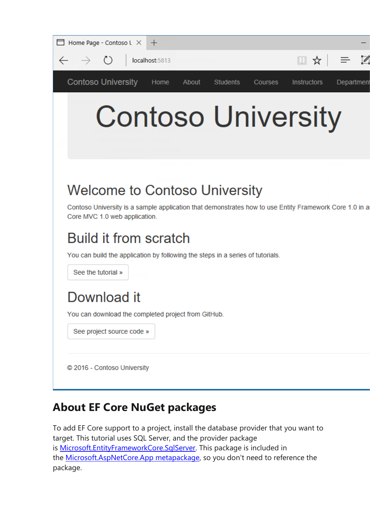| $\Box$ Home Page - Contoso $\cup \times +$                                                                                                                                                                                                                                                 |                                                    |
|--------------------------------------------------------------------------------------------------------------------------------------------------------------------------------------------------------------------------------------------------------------------------------------------|----------------------------------------------------|
| $\leftarrow$ $\rightarrow$ 0  <br>localhost:5813                                                                                                                                                                                                                                           | □ ☆ □                                              |
| <b>Contoso University</b><br>Home<br>About<br><b>Students</b>                                                                                                                                                                                                                              | <b>Instructors</b><br><b>Courses</b><br>Department |
| <b>Contoso University</b>                                                                                                                                                                                                                                                                  |                                                    |
| <b>Welcome to Contoso University</b><br>Contoso University is a sample application that demonstrates how to use Entity Framework Core 1.0 in a<br>Core MVC 1.0 web application.<br>Build it from scratch<br>You can build the application by following the steps in a series of tutorials. |                                                    |
| See the tutorial »                                                                                                                                                                                                                                                                         |                                                    |
| Download it<br>You can download the completed project from GitHub.                                                                                                                                                                                                                         |                                                    |
| See project source code »                                                                                                                                                                                                                                                                  |                                                    |
| © 2016 - Contoso University                                                                                                                                                                                                                                                                |                                                    |

### **About EF Core NuGet packages**

To add EF Core support to a project, install the database provider that you want to target. This tutorial uses SQL Server, and the provider package is [Microsoft.EntityFrameworkCore.SqlServer.](https://www.nuget.org/packages/Microsoft.EntityFrameworkCore.SqlServer/) This package is included in the [Microsoft.AspNetCore.App metapackage,](https://docs.microsoft.com/en-gb/aspnet/core/fundamentals/metapackage-app?view=aspnetcore-3.1) so you don't need to reference the package.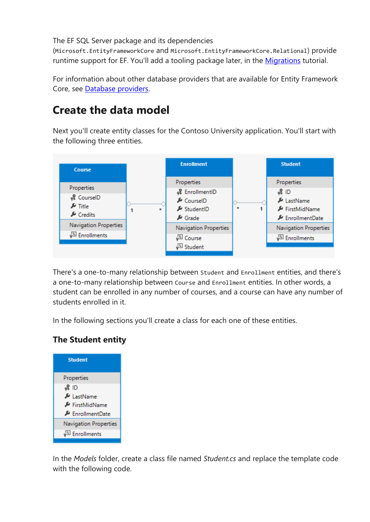The EF SQL Server package and its dependencies

(Microsoft.EntityFrameworkCore and Microsoft.EntityFrameworkCore.Relational) provide runtime support for EF. You'll add a tooling package later, in the [Migrations](https://docs.microsoft.com/en-gb/aspnet/core/data/ef-mvc/migrations?view=aspnetcore-3.1) tutorial.

For information about other database providers that are available for Entity Framework Core, see [Database providers.](https://docs.microsoft.com/en-us/ef/core/providers/)

### **Create the data model**

Next you'll create entity classes for the Contoso University application. You'll start with the following three entities.



There's a one-to-many relationship between Student and Enrollment entities, and there's a one-to-many relationship between Course and Enrollment entities. In other words, a student can be enrolled in any number of courses, and a course can have any number of students enrolled in it.

In the following sections you'll create a class for each one of these entities.

### **The Student entity**



In the *Models* folder, create a class file named *Student.cs* and replace the template code with the following code.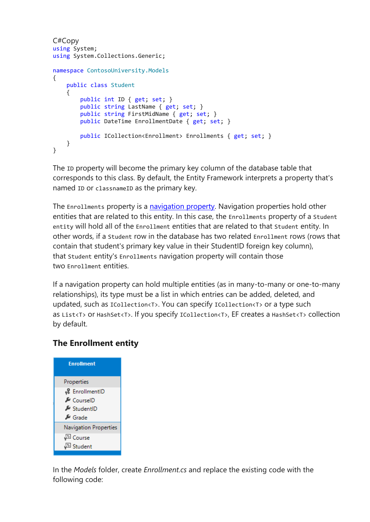```
C#Copy
using System;
using System.Collections.Generic;
namespace ContosoUniversity.Models
{
     public class Student
     {
         public int ID { get; set; }
        public string LastName { get; set; }
         public string FirstMidName { get; set; }
         public DateTime EnrollmentDate { get; set; }
        public ICollection<Enrollment> Enrollments { get; set; }
     }
}
```
The ID property will become the primary key column of the database table that corresponds to this class. By default, the Entity Framework interprets a property that's named ID or classnameID as the primary key.

The Enrollments property is a [navigation property.](https://docs.microsoft.com/en-us/ef/core/modeling/relationships) Navigation properties hold other entities that are related to this entity. In this case, the Enrollments property of a Student entity will hold all of the Enrollment entities that are related to that Student entity. In other words, if a Student row in the database has two related Enrollment rows (rows that contain that student's primary key value in their StudentID foreign key column), that Student entity's Enrollments navigation property will contain those two Enrollment entities.

If a navigation property can hold multiple entities (as in many-to-many or one-to-many relationships), its type must be a list in which entries can be added, deleted, and updated, such as ICollection<T>. You can specify ICollection<T> or a type such as List<T> or HashSet<T>. If you specify ICollection<T>, EF creates a HashSet<T> collection by default.

#### **The Enrollment entity**



In the *Models* folder, create *Enrollment.cs* and replace the existing code with the following code: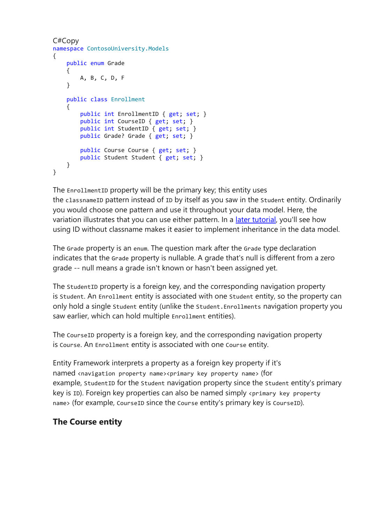```
C#Copy
namespace ContosoUniversity.Models
{
     public enum Grade
     {
         A, B, C, D, F
     }
     public class Enrollment
\{ \{ \}public int EnrollmentID { get; set; }
         public int CourseID { get; set; }
         public int StudentID { get; set; }
         public Grade? Grade { get; set; }
         public Course Course { get; set; }
         public Student Student { get; set; }
     }
}
```
The EnrollmentID property will be the primary key; this entity uses the classnameID pattern instead of ID by itself as you saw in the Student entity. Ordinarily you would choose one pattern and use it throughout your data model. Here, the variation illustrates that you can use either pattern. In a [later tutorial,](https://docs.microsoft.com/en-gb/aspnet/core/data/ef-mvc/inheritance?view=aspnetcore-3.1) you'll see how using ID without classname makes it easier to implement inheritance in the data model.

The Grade property is an enum. The question mark after the Grade type declaration indicates that the Grade property is nullable. A grade that's null is different from a zero grade -- null means a grade isn't known or hasn't been assigned yet.

The StudentID property is a foreign key, and the corresponding navigation property is Student. An Enrollment entity is associated with one Student entity, so the property can only hold a single Student entity (unlike the Student.Enrollments navigation property you saw earlier, which can hold multiple Enrollment entities).

The CourseID property is a foreign key, and the corresponding navigation property is Course. An Enrollment entity is associated with one Course entity.

Entity Framework interprets a property as a foreign key property if it's named <navigation property name><primary key property name> (for example, StudentID for the Student navigation property since the Student entity's primary key is ID). Foreign key properties can also be named simply <primary key property name> (for example, CourseID since the Course entity's primary key is CourseID).

### **The Course entity**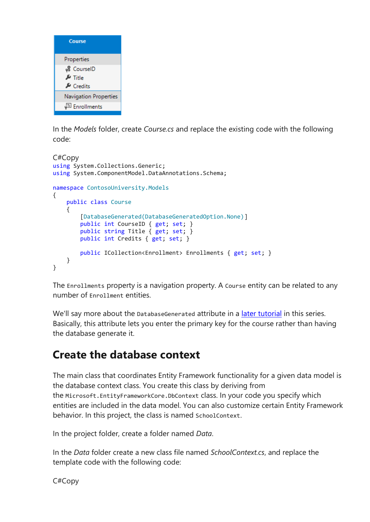

In the *Models* folder, create *Course.cs* and replace the existing code with the following code:

```
C#Copy
using System.Collections.Generic;
using System.ComponentModel.DataAnnotations.Schema;
namespace ContosoUniversity.Models
{
     public class Course
     {
         [DatabaseGenerated(DatabaseGeneratedOption.None)]
        public int CourseID { get; set; }
         public string Title { get; set; }
         public int Credits { get; set; }
        public ICollection<Enrollment> Enrollments { get; set; }
     }
}
```
The Enrollments property is a navigation property. A Course entity can be related to any number of Enrollment entities.

We'll say more about the DatabaseGenerated attribute in a [later tutorial](https://docs.microsoft.com/en-gb/aspnet/core/data/ef-mvc/complex-data-model?view=aspnetcore-3.1) in this series. Basically, this attribute lets you enter the primary key for the course rather than having the database generate it.

### **Create the database context**

The main class that coordinates Entity Framework functionality for a given data model is the database context class. You create this class by deriving from the Microsoft.EntityFrameworkCore.DbContext class. In your code you specify which entities are included in the data model. You can also customize certain Entity Framework behavior. In this project, the class is named SchoolContext.

In the project folder, create a folder named *Data*.

In the *Data* folder create a new class file named *SchoolContext.cs*, and replace the template code with the following code:

C#Copy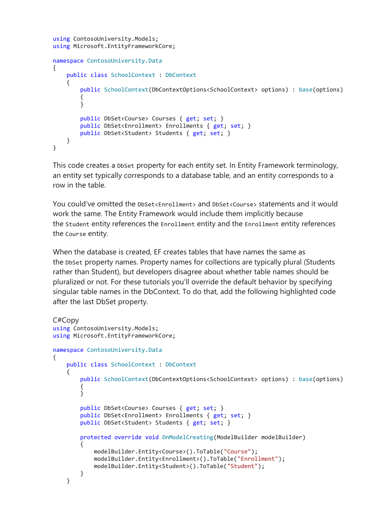```
using ContosoUniversity.Models;
using Microsoft.EntityFrameworkCore;
namespace ContosoUniversity.Data
{
     public class SchoolContext : DbContext
     {
        public SchoolContext(DbContextOptions<SchoolContext> options) : base(options)
         {
         }
         public DbSet<Course> Courses { get; set; }
         public DbSet<Enrollment> Enrollments { get; set; }
         public DbSet<Student> Students { get; set; }
     }
}
```
This code creates a DbSet property for each entity set. In Entity Framework terminology, an entity set typically corresponds to a database table, and an entity corresponds to a row in the table.

You could've omitted the DbSet<Enrollment> and DbSet<Course> statements and it would work the same. The Entity Framework would include them implicitly because the Student entity references the Enrollment entity and the Enrollment entity references the Course entity.

When the database is created, EF creates tables that have names the same as the DbSet property names. Property names for collections are typically plural (Students rather than Student), but developers disagree about whether table names should be pluralized or not. For these tutorials you'll override the default behavior by specifying singular table names in the DbContext. To do that, add the following highlighted code after the last DbSet property.

```
C#Copy
using ContosoUniversity.Models;
using Microsoft.EntityFrameworkCore;
namespace ContosoUniversity.Data
{
     public class SchoolContext : DbContext
\{ \{ \} public SchoolContext(DbContextOptions<SchoolContext> options) : base(options)
         {
         }
         public DbSet<Course> Courses { get; set; }
         public DbSet<Enrollment> Enrollments { get; set; }
         public DbSet<Student> Students { get; set; }
         protected override void OnModelCreating(ModelBuilder modelBuilder)
\overline{\mathcal{L}} modelBuilder.Entity<Course>().ToTable("Course");
             modelBuilder.Entity<Enrollment>().ToTable("Enrollment");
             modelBuilder.Entity<Student>().ToTable("Student");
         }
     }
```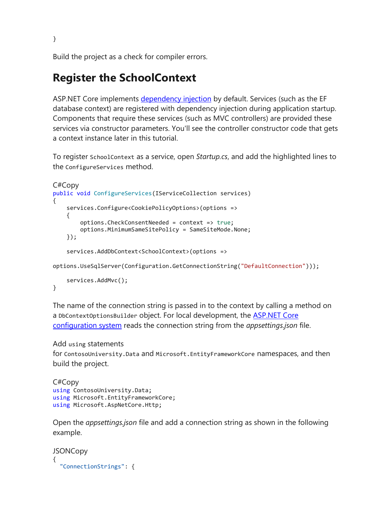Build the project as a check for compiler errors.

### **Register the SchoolContext**

ASP.NET Core implements [dependency injection](https://docs.microsoft.com/en-gb/aspnet/core/fundamentals/dependency-injection?view=aspnetcore-3.1) by default. Services (such as the EF database context) are registered with dependency injection during application startup. Components that require these services (such as MVC controllers) are provided these services via constructor parameters. You'll see the controller constructor code that gets a context instance later in this tutorial.

To register SchoolContext as a service, open *Startup.cs*, and add the highlighted lines to the ConfigureServices method.

```
C#Copy
public void ConfigureServices(IServiceCollection services)
{
        services.Configure<CookiePolicyOptions>(options =>
\{ \cdot \cdot \cdot \cdot \cdot \cdot \cdot \cdot \cdot \cdot \cdot \cdot \cdot \cdot \cdot \cdot \cdot \cdot \cdot \cdot \cdot \cdot \cdot \cdot \cdot \cdot \cdot \cdot \cdot \cdot \cdot \cdot \cdot \cdot \cdot \cdot 
               options.CheckConsentNeeded = context => true;
               options.MinimumSameSitePolicy = SameSiteMode.None;
        });
        services.AddDbContext<SchoolContext>(options =>
```
options.UseSqlServer(Configuration.GetConnectionString("DefaultConnection")));

```
 services.AddMvc();
```
}

The name of the connection string is passed in to the context by calling a method on a DbContextOptionsBuilder object. For local development, the [ASP.NET Core](https://docs.microsoft.com/en-gb/aspnet/core/fundamentals/configuration/?view=aspnetcore-3.1)  [configuration system](https://docs.microsoft.com/en-gb/aspnet/core/fundamentals/configuration/?view=aspnetcore-3.1) reads the connection string from the *appsettings.json* file.

#### Add using statements

for ContosoUniversity.Data and Microsoft.EntityFrameworkCore namespaces, and then build the project.

```
C#Copy
using ContosoUniversity.Data;
using Microsoft.EntityFrameworkCore;
using Microsoft.AspNetCore.Http;
```
Open the *appsettings.json* file and add a connection string as shown in the following example.

```
JSONCopy
{
   "ConnectionStrings": {
```
}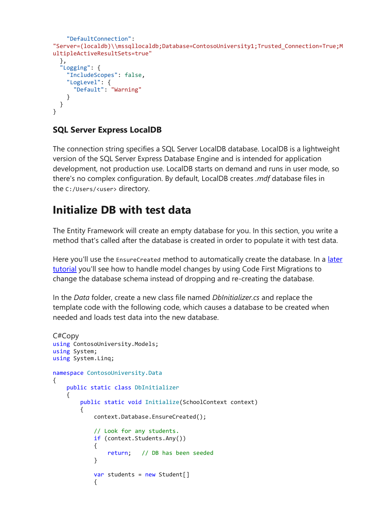```
 "DefaultConnection":
"Server=(localdb)\\mssqllocaldb;Database=ContosoUniversity1;Trusted_Connection=True;M
ultipleActiveResultSets=true"
 },
 "Logging": {
     "IncludeScopes": false,
     "LogLevel": {
       "Default": "Warning"
    }
  }
}
```
### **SQL Server Express LocalDB**

The connection string specifies a SQL Server LocalDB database. LocalDB is a lightweight version of the SQL Server Express Database Engine and is intended for application development, not production use. LocalDB starts on demand and runs in user mode, so there's no complex configuration. By default, LocalDB creates *.mdf* database files in the C:/Users/<user> directory.

### **Initialize DB with test data**

The Entity Framework will create an empty database for you. In this section, you write a method that's called after the database is created in order to populate it with test data.

Here you'll use the EnsureCreated method to automatically create the database. In a later [tutorial](https://docs.microsoft.com/en-gb/aspnet/core/data/ef-mvc/migrations?view=aspnetcore-3.1) you'll see how to handle model changes by using Code First Migrations to change the database schema instead of dropping and re-creating the database.

In the *Data* folder, create a new class file named *DbInitializer.cs* and replace the template code with the following code, which causes a database to be created when needed and loads test data into the new database.

```
C#Copy
using ContosoUniversity.Models;
using System;
using System.Linq;
namespace ContosoUniversity.Data
{
    public static class DbInitializer
    {
        public static void Initialize(SchoolContext context)
\overline{\mathcal{L}} context.Database.EnsureCreated();
            // Look for any students.
            if (context.Students.Any())
\{ return; // DB has been seeded
 }
           var students = new Student[]
\{
```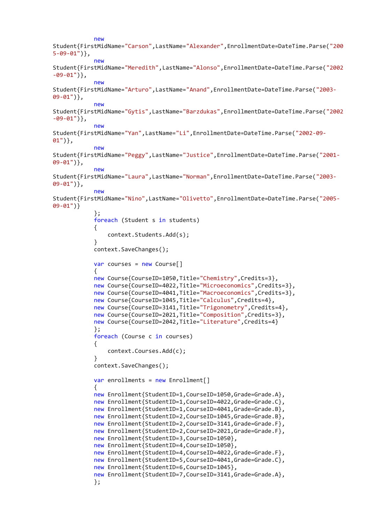```
 new
Student{FirstMidName="Carson",LastName="Alexander",EnrollmentDate=DateTime.Parse("200
5-09-01")},
             new
Student{FirstMidName="Meredith",LastName="Alonso",EnrollmentDate=DateTime.Parse("2002
-09-01")},
             new
Student{FirstMidName="Arturo",LastName="Anand",EnrollmentDate=DateTime.Parse("2003-
09-01")},
             new
Student{FirstMidName="Gytis",LastName="Barzdukas",EnrollmentDate=DateTime.Parse("2002
-09-01")},
             new
Student{FirstMidName="Yan",LastName="Li",EnrollmentDate=DateTime.Parse("2002-09-
01")},
             new
Student{FirstMidName="Peggy",LastName="Justice",EnrollmentDate=DateTime.Parse("2001-
09-01")},
             new
Student{FirstMidName="Laura",LastName="Norman",EnrollmentDate=DateTime.Parse("2003-
09-01")},
             new
Student{FirstMidName="Nino",LastName="Olivetto",EnrollmentDate=DateTime.Parse("2005-
09-01")}
             };
             foreach (Student s in students)
\{ context.Students.Add(s);
 }
             context.SaveChanges();
            var courses = new Course[]\{ new Course{CourseID=1050,Title="Chemistry",Credits=3},
             new Course{CourseID=4022,Title="Microeconomics",Credits=3},
             new Course{CourseID=4041,Title="Macroeconomics",Credits=3},
             new Course{CourseID=1045,Title="Calculus",Credits=4},
             new Course{CourseID=3141,Title="Trigonometry",Credits=4},
             new Course{CourseID=2021,Title="Composition",Credits=3},
            new Course{CourseID=2042, Title="Literature", Credits=4}
             };
             foreach (Course c in courses)
\{ context.Courses.Add(c);
 }
             context.SaveChanges();
            var enrollments = new Enrollment[]
\{ new Enrollment{StudentID=1,CourseID=1050,Grade=Grade.A},
             new Enrollment{StudentID=1,CourseID=4022,Grade=Grade.C},
            new Enrollment{StudentID=1,CourseID=4041,Grade=Grade.B},
             new Enrollment{StudentID=2,CourseID=1045,Grade=Grade.B},
             new Enrollment{StudentID=2,CourseID=3141,Grade=Grade.F},
             new Enrollment{StudentID=2,CourseID=2021,Grade=Grade.F},
             new Enrollment{StudentID=3,CourseID=1050},
             new Enrollment{StudentID=4,CourseID=1050},
             new Enrollment{StudentID=4,CourseID=4022,Grade=Grade.F},
             new Enrollment{StudentID=5,CourseID=4041,Grade=Grade.C},
             new Enrollment{StudentID=6,CourseID=1045},
             new Enrollment{StudentID=7,CourseID=3141,Grade=Grade.A},
             };
```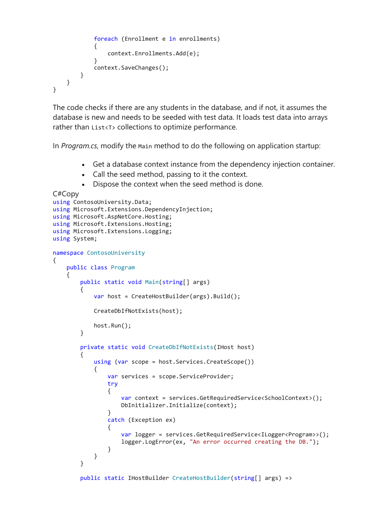```
 foreach (Enrollment e in enrollments)
\{ context.Enrollments.Add(e);
 }
           context.SaveChanges();
        }
    }
}
```
The code checks if there are any students in the database, and if not, it assumes the database is new and needs to be seeded with test data. It loads test data into arrays rather than List<T> collections to optimize performance.

In *Program.cs*, modify the Main method to do the following on application startup:

- Get a database context instance from the dependency injection container.
- Call the seed method, passing to it the context.
- Dispose the context when the seed method is done.

```
C#Copy
using ContosoUniversity.Data;
using Microsoft.Extensions.DependencyInjection;
using Microsoft.AspNetCore.Hosting;
using Microsoft.Extensions.Hosting;
using Microsoft.Extensions.Logging;
using System;
namespace ContosoUniversity
{
    public class Program
    {
        public static void Main(string[] args)
        {
           var host = CreateHostBuilder(args).Build();
            CreateDbIfNotExists(host);
            host.Run();
        }
        private static void CreateDbIfNotExists(IHost host)
\overline{\mathcal{L}} using (var scope = host.Services.CreateScope())
\{var services = scope.ServiceProvider;
                try
\{ var context = services.GetRequiredService<SchoolContext>();
                    DbInitializer.Initialize(context);
 }
                catch (Exception ex)
\{ var logger = services.GetRequiredService<ILogger<Program>>();
                    logger.LogError(ex, "An error occurred creating the DB.");
 }
 }
        }
        public static IHostBuilder CreateHostBuilder(string[] args) =>
```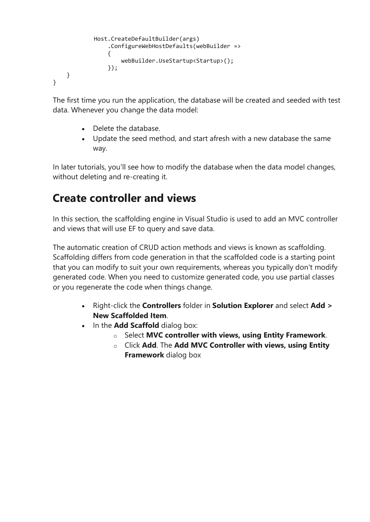```
 Host.CreateDefaultBuilder(args)
                .ConfigureWebHostDefaults(webBuilder =>
\{ webBuilder.UseStartup<Startup>();
                });
    }
}
```
The first time you run the application, the database will be created and seeded with test data. Whenever you change the data model:

- Delete the database.
- Update the seed method, and start afresh with a new database the same way.

In later tutorials, you'll see how to modify the database when the data model changes, without deleting and re-creating it.

### **Create controller and views**

In this section, the scaffolding engine in Visual Studio is used to add an MVC controller and views that will use EF to query and save data.

The automatic creation of CRUD action methods and views is known as scaffolding. Scaffolding differs from code generation in that the scaffolded code is a starting point that you can modify to suit your own requirements, whereas you typically don't modify generated code. When you need to customize generated code, you use partial classes or you regenerate the code when things change.

- Right-click the **Controllers** folder in **Solution Explorer** and select **Add > New Scaffolded Item**.
- In the **Add Scaffold** dialog box:
	- o Select **MVC controller with views, using Entity Framework**.
	- o Click **Add**. The **Add MVC Controller with views, using Entity Framework** dialog box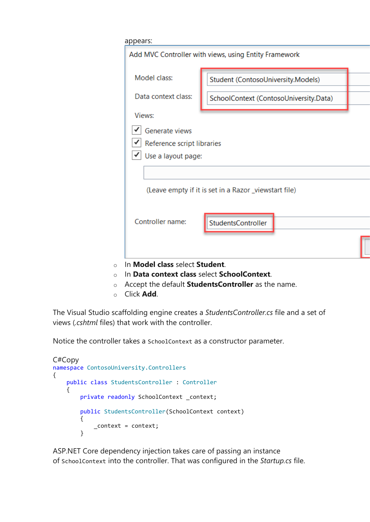| Model class:               | Student (ContosoUniversity.Models)                    |
|----------------------------|-------------------------------------------------------|
| Data context class:        | SchoolContext (ContosoUniversity.Data)                |
| Views:                     |                                                       |
| Generate views             |                                                       |
| Reference script libraries |                                                       |
| Use a layout page:         |                                                       |
|                            |                                                       |
|                            | (Leave empty if it is set in a Razor _viewstart file) |
| Controller name:           | StudentsController                                    |
|                            |                                                       |

- o Accept the default **StudentsController** as the name.
- o Click **Add**.

The Visual Studio scaffolding engine creates a *StudentsController.cs* file and a set of views (*.cshtml* files) that work with the controller.

Notice the controller takes a SchoolContext as a constructor parameter.

```
C#Copy
namespace ContosoUniversity.Controllers
{
     public class StudentsController : Controller
     {
        private readonly SchoolContext context;
         public StudentsController(SchoolContext context)
         {
             _context = context;
         }
```
ASP.NET Core dependency injection takes care of passing an instance of SchoolContext into the controller. That was configured in the *Startup.cs* file.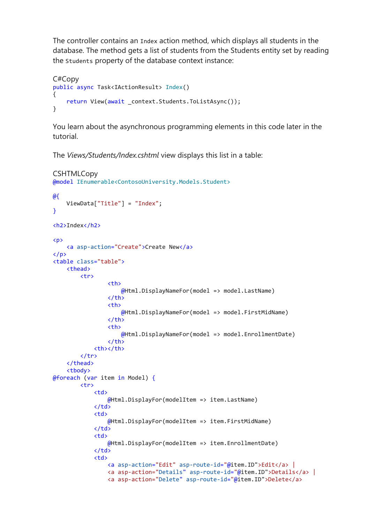The controller contains an Index action method, which displays all students in the database. The method gets a list of students from the Students entity set by reading the Students property of the database context instance:

```
C#Copy
public async Task<IActionResult> Index()
{
    return View(await context.Students.ToListAsync());
}
```
You learn about the asynchronous programming elements in this code later in the tutorial.

The *Views/Students/Index.cshtml* view displays this list in a table:

```
CSHTMLCopy
@model IEnumerable<ContosoUniversity.Models.Student>
@{
     ViewData["Title"] = "Index";
}
<h2>Index</h2>
<p>
     <a asp-action="Create">Create New</a>
\langle/p>
<table class="table">
     <thead>
          <tr>
                   <th>
                       @Html.DisplayNameFor(model => model.LastName)
                  \langle/th>
                   <th>
                       @Html.DisplayNameFor(model => model.FirstMidName)
                  \langle/th>
                   <th>
                       @Html.DisplayNameFor(model => model.EnrollmentDate)
                  \langle/th>
             <th></th>
         \langle/tr>
     </thead>
     <tbody>
@foreach (var item in Model) {
          <tr>
             <td>
                   @Html.DisplayFor(modelItem => item.LastName)
             \langle/td>
              <td>
                   @Html.DisplayFor(modelItem => item.FirstMidName)
             \langle/td>
              <td>
                   @Html.DisplayFor(modelItem => item.EnrollmentDate)
             \langle/td>
              <td>
                   <a asp-action="Edit" asp-route-id="@item.ID">Edit</a> |
                   <a asp-action="Details" asp-route-id="@item.ID">Details</a> |
                   <a asp-action="Delete" asp-route-id="@item.ID">Delete</a>
```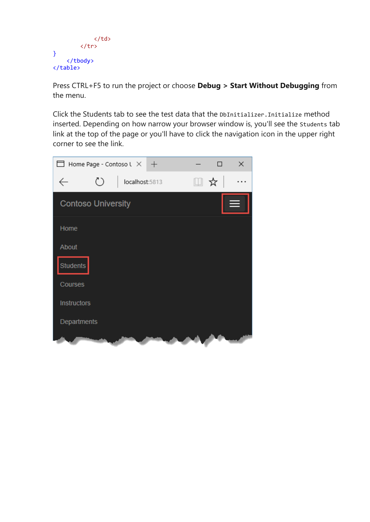```
\langle/td>
            \langle/tr>
}
       </tbody>
</table>
```
Press CTRL+F5 to run the project or choose **Debug > Start Without Debugging** from the menu.

Click the Students tab to see the test data that the DbInitializer.Initialize method inserted. Depending on how narrow your browser window is, you'll see the Students tab link at the top of the page or you'll have to click the navigation icon in the upper right corner to see the link.

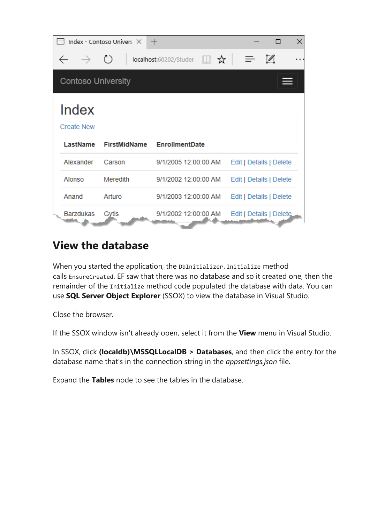|                            | Index - Contoso Univer: X | $^{+}$                 |    |                         | П                          | $\times$ |
|----------------------------|---------------------------|------------------------|----|-------------------------|----------------------------|----------|
| $\rightarrow$ 0            |                           | localhost:60202/Studer | ■☆ |                         | $\mathscr{D}_{\mathsf{a}}$ |          |
| <b>Contoso University</b>  |                           |                        |    |                         |                            |          |
| Index<br><b>Create New</b> |                           |                        |    |                         |                            |          |
| LastName                   |                           |                        |    |                         |                            |          |
|                            | <b>FirstMidName</b>       | <b>EnrollmentDate</b>  |    |                         |                            |          |
| Alexander                  | Carson                    | 9/1/2005 12:00:00 AM   |    | Edit   Details   Delete |                            |          |
| Alonso                     | Meredith                  | 9/1/2002 12:00:00 AM   |    | Edit   Details   Delete |                            |          |
| Anand                      | Arturo                    | 9/1/2003 12:00:00 AM   |    | Edit   Details   Delete |                            |          |

### **View the database**

When you started the application, the DbInitializer. Initialize method calls EnsureCreated. EF saw that there was no database and so it created one, then the remainder of the Initialize method code populated the database with data. You can use **SQL Server Object Explorer** (SSOX) to view the database in Visual Studio.

Close the browser.

If the SSOX window isn't already open, select it from the **View** menu in Visual Studio.

In SSOX, click **(localdb)\MSSQLLocalDB > Databases**, and then click the entry for the database name that's in the connection string in the *appsettings.json* file.

Expand the **Tables** node to see the tables in the database.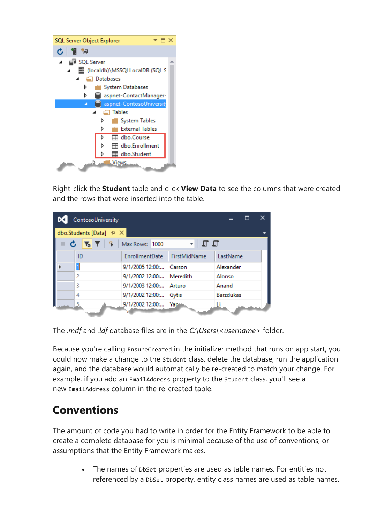

Right-click the **Student** table and click **View Data** to see the columns that were created and the rows that were inserted into the table.

| ContosoUniversity                                                                    |                          |                     |                  | × |
|--------------------------------------------------------------------------------------|--------------------------|---------------------|------------------|---|
| dbo.Students [Data] $\# \times$                                                      |                          |                     |                  |   |
| $\bullet$ $\bullet$ $\bullet$ $\bullet$ $\bullet$ $\bullet$ $\bullet$ Max Rows: 1000 |                          | - ចេច               |                  |   |
| ID                                                                                   | EnrollmentDate           | <b>FirstMidName</b> | LastName         |   |
| 1                                                                                    | 9/1/2005 12:00: Carson   |                     | Alexander        |   |
| 2                                                                                    | 9/1/2002 12:00: Meredith |                     | Alonso           |   |
| 3                                                                                    | 9/1/2003 12:00: Arturo   |                     | Anand            |   |
| 4                                                                                    | 9/1/2002 12:00: Gytis    |                     | <b>Barzdukas</b> |   |
|                                                                                      | 9/1/2002 12:00: Yam      |                     |                  |   |

The *.mdf* and *.ldf* database files are in the *C:\Users\<username>* folder.

Because you're calling EnsureCreated in the initializer method that runs on app start, you could now make a change to the Student class, delete the database, run the application again, and the database would automatically be re-created to match your change. For example, if you add an EmailAddress property to the Student class, you'll see a new EmailAddress column in the re-created table.

### **Conventions**

The amount of code you had to write in order for the Entity Framework to be able to create a complete database for you is minimal because of the use of conventions, or assumptions that the Entity Framework makes.

> • The names of DbSet properties are used as table names. For entities not referenced by a DbSet property, entity class names are used as table names.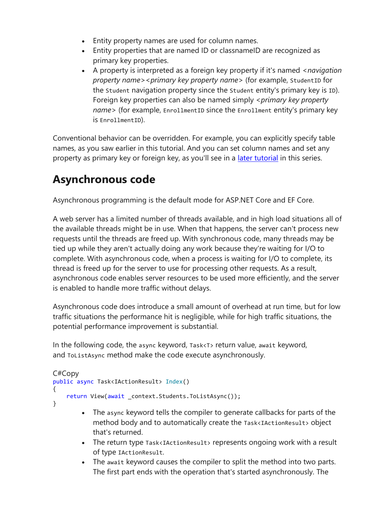- Entity property names are used for column names.
- Entity properties that are named ID or classnameID are recognized as primary key properties.
- A property is interpreted as a foreign key property if it's named *<navigation property name><primary key property name>* (for example, StudentID for the Student navigation property since the Student entity's primary key is ID). Foreign key properties can also be named simply *<primary key property name>* (for example, EnrollmentID since the Enrollment entity's primary key is EnrollmentID).

Conventional behavior can be overridden. For example, you can explicitly specify table names, as you saw earlier in this tutorial. And you can set column names and set any property as primary key or foreign key, as you'll see in a *[later tutorial](https://docs.microsoft.com/en-gb/aspnet/core/data/ef-mvc/complex-data-model?view=aspnetcore-3.1)* in this series.

## **Asynchronous code**

Asynchronous programming is the default mode for ASP.NET Core and EF Core.

A web server has a limited number of threads available, and in high load situations all of the available threads might be in use. When that happens, the server can't process new requests until the threads are freed up. With synchronous code, many threads may be tied up while they aren't actually doing any work because they're waiting for I/O to complete. With asynchronous code, when a process is waiting for I/O to complete, its thread is freed up for the server to use for processing other requests. As a result, asynchronous code enables server resources to be used more efficiently, and the server is enabled to handle more traffic without delays.

Asynchronous code does introduce a small amount of overhead at run time, but for low traffic situations the performance hit is negligible, while for high traffic situations, the potential performance improvement is substantial.

In the following code, the async keyword, Task<T> return value, await keyword, and ToListAsync method make the code execute asynchronously.

```
C#Copy
public async Task<IActionResult> Index()
{
     return View(await _context.Students.ToListAsync());
}
```
- The async keyword tells the compiler to generate callbacks for parts of the method body and to automatically create the Task<IActionResult> object that's returned.
- The return type Task<IActionResult> represents ongoing work with a result of type IActionResult.
- The await keyword causes the compiler to split the method into two parts. The first part ends with the operation that's started asynchronously. The